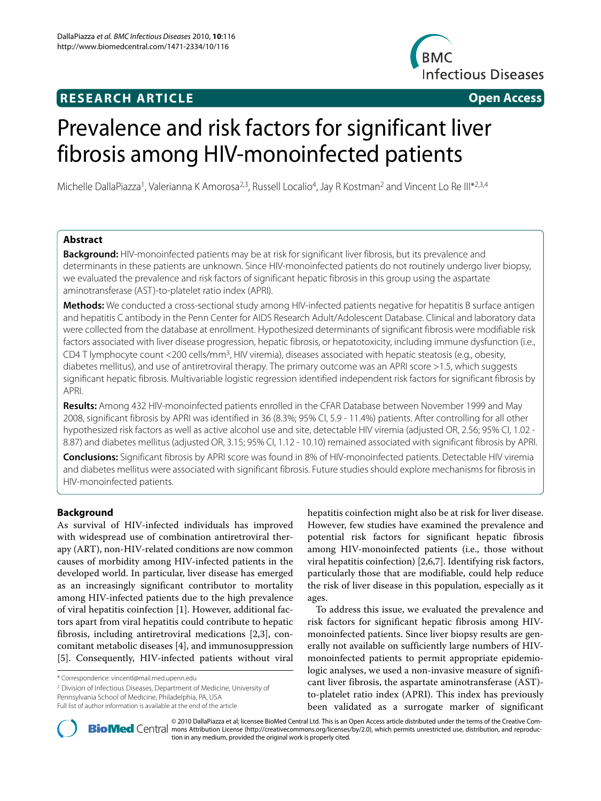# **RESEARCH ARTICLE Open Access**



# Prevalence and risk factors for significant liver fibrosis among HIV-monoinfected patients

Michelle DallaPiazza<sup>1</sup>, Valerianna K Amorosa<sup>2,3</sup>, Russell Localio<sup>4</sup>, Jay R Kostman<sup>2</sup> and Vincent Lo Re III\*2,3,4

# **Abstract**

**Background:** HIV-monoinfected patients may be at risk for significant liver fibrosis, but its prevalence and determinants in these patients are unknown. Since HIV-monoinfected patients do not routinely undergo liver biopsy, we evaluated the prevalence and risk factors of significant hepatic fibrosis in this group using the aspartate aminotransferase (AST)-to-platelet ratio index (APRI).

**Methods:** We conducted a cross-sectional study among HIV-infected patients negative for hepatitis B surface antigen and hepatitis C antibody in the Penn Center for AIDS Research Adult/Adolescent Database. Clinical and laboratory data were collected from the database at enrollment. Hypothesized determinants of significant fibrosis were modifiable risk factors associated with liver disease progression, hepatic fibrosis, or hepatotoxicity, including immune dysfunction (i.e., CD4 T lymphocyte count <200 cells/mm3, HIV viremia), diseases associated with hepatic steatosis (e.g., obesity, diabetes mellitus), and use of antiretroviral therapy. The primary outcome was an APRI score >1.5, which suggests significant hepatic fibrosis. Multivariable logistic regression identified independent risk factors for significant fibrosis by APRI.

**Results:** Among 432 HIV-monoinfected patients enrolled in the CFAR Database between November 1999 and May 2008, significant fibrosis by APRI was identified in 36 (8.3%; 95% CI, 5.9 - 11.4%) patients. After controlling for all other hypothesized risk factors as well as active alcohol use and site, detectable HIV viremia (adjusted OR, 2.56; 95% CI, 1.02 - 8.87) and diabetes mellitus (adjusted OR, 3.15; 95% CI, 1.12 - 10.10) remained associated with significant fibrosis by APRI.

**Conclusions:** Significant fibrosis by APRI score was found in 8% of HIV-monoinfected patients. Detectable HIV viremia and diabetes mellitus were associated with significant fibrosis. Future studies should explore mechanisms for fibrosis in HIV-monoinfected patients.

# **Background**

As survival of HIV-infected individuals has improved with widespread use of combination antiretroviral therapy (ART), non-HIV-related conditions are now common causes of morbidity among HIV-infected patients in the developed world. In particular, liver disease has emerged as an increasingly significant contributor to mortality among HIV-infected patients due to the high prevalence of viral hepatitis coinfection [1]. However, additional factors apart from viral hepatitis could contribute to hepatic fibrosis, including antiretroviral medications [2,3], concomitant metabolic diseases [4], and immunosuppression [5]. Consequently, HIV-infected patients without viral

2 Division of Infectious Diseases, Department of Medicine, University of Pennsylvania School of Medicine, Philadelphia, PA, USA

hepatitis coinfection might also be at risk for liver disease. However, few studies have examined the prevalence and potential risk factors for significant hepatic fibrosis among HIV-monoinfected patients (i.e., those without viral hepatitis coinfection) [2,6,7]. Identifying risk factors, particularly those that are modifiable, could help reduce the risk of liver disease in this population, especially as it ages.

To address this issue, we evaluated the prevalence and risk factors for significant hepatic fibrosis among HIVmonoinfected patients. Since liver biopsy results are generally not available on sufficiently large numbers of HIVmonoinfected patients to permit appropriate epidemiologic analyses, we used a non-invasive measure of significant liver fibrosis, the aspartate aminotransferase (AST) to-platelet ratio index (APRI). This index has previously been validated as a surrogate marker of significant



© 2010 DallaPiazza et al; licensee BioMed Central Ltd. This is an Open Access article distributed under the terms of the Creative Com-<br>-Bio Med Central mons Attribution License (http://creativecommons.org/licenses/by/2.0), tion in any medium, provided the original work is properly cited.

<sup>\*</sup> Correspondence: vincentl@mail.med.upenn.edu

Full list of author information is available at the end of the article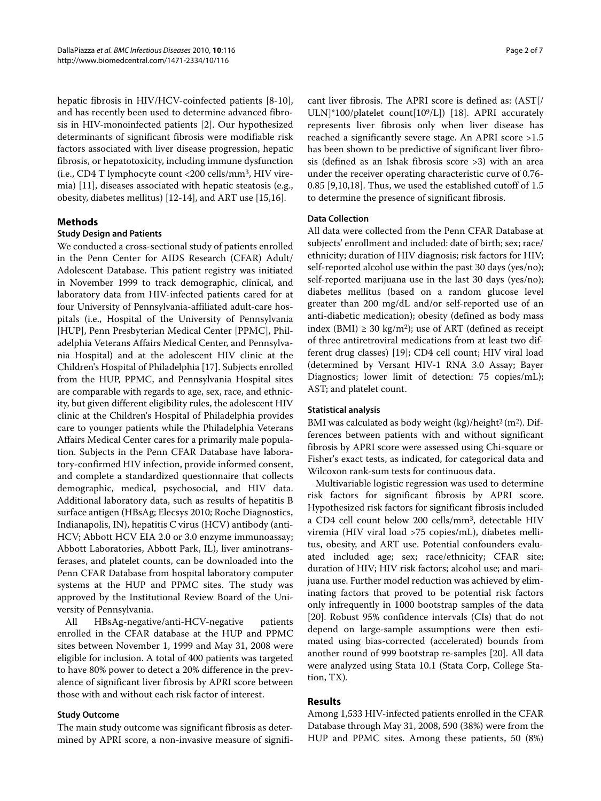hepatic fibrosis in HIV/HCV-coinfected patients [8-10], and has recently been used to determine advanced fibrosis in HIV-monoinfected patients [2]. Our hypothesized determinants of significant fibrosis were modifiable risk factors associated with liver disease progression, hepatic fibrosis, or hepatotoxicity, including immune dysfunction (i.e., CD4 T lymphocyte count <200 cells/mm3, HIV viremia) [11], diseases associated with hepatic steatosis (e.g., obesity, diabetes mellitus) [12-14], and ART use [15,16].

# **Methods**

# **Study Design and Patients**

We conducted a cross-sectional study of patients enrolled in the Penn Center for AIDS Research (CFAR) Adult/ Adolescent Database. This patient registry was initiated in November 1999 to track demographic, clinical, and laboratory data from HIV-infected patients cared for at four University of Pennsylvania-affiliated adult-care hospitals (i.e., Hospital of the University of Pennsylvania [HUP], Penn Presbyterian Medical Center [PPMC], Philadelphia Veterans Affairs Medical Center, and Pennsylvania Hospital) and at the adolescent HIV clinic at the Children's Hospital of Philadelphia [17]. Subjects enrolled from the HUP, PPMC, and Pennsylvania Hospital sites are comparable with regards to age, sex, race, and ethnicity, but given different eligibility rules, the adolescent HIV clinic at the Children's Hospital of Philadelphia provides care to younger patients while the Philadelphia Veterans Affairs Medical Center cares for a primarily male population. Subjects in the Penn CFAR Database have laboratory-confirmed HIV infection, provide informed consent, and complete a standardized questionnaire that collects demographic, medical, psychosocial, and HIV data. Additional laboratory data, such as results of hepatitis B surface antigen (HBsAg; Elecsys 2010; Roche Diagnostics, Indianapolis, IN), hepatitis C virus (HCV) antibody (anti-HCV; Abbott HCV EIA 2.0 or 3.0 enzyme immunoassay; Abbott Laboratories, Abbott Park, IL), liver aminotransferases, and platelet counts, can be downloaded into the Penn CFAR Database from hospital laboratory computer systems at the HUP and PPMC sites. The study was approved by the Institutional Review Board of the University of Pennsylvania.

All HBsAg-negative/anti-HCV-negative patients enrolled in the CFAR database at the HUP and PPMC sites between November 1, 1999 and May 31, 2008 were eligible for inclusion. A total of 400 patients was targeted to have 80% power to detect a 20% difference in the prevalence of significant liver fibrosis by APRI score between those with and without each risk factor of interest.

# **Study Outcome**

The main study outcome was significant fibrosis as determined by APRI score, a non-invasive measure of signifi-

cant liver fibrosis. The APRI score is defined as: (AST[/ ULN]\*100/platelet count[109/L]) [18]. APRI accurately represents liver fibrosis only when liver disease has reached a significantly severe stage. An APRI score >1.5 has been shown to be predictive of significant liver fibrosis (defined as an Ishak fibrosis score >3) with an area under the receiver operating characteristic curve of 0.76- 0.85 [9,10,18]. Thus, we used the established cutoff of 1.5 to determine the presence of significant fibrosis.

# **Data Collection**

All data were collected from the Penn CFAR Database at subjects' enrollment and included: date of birth; sex; race/ ethnicity; duration of HIV diagnosis; risk factors for HIV; self-reported alcohol use within the past 30 days (yes/no); self-reported marijuana use in the last 30 days (yes/no); diabetes mellitus (based on a random glucose level greater than 200 mg/dL and/or self-reported use of an anti-diabetic medication); obesity (defined as body mass index (BMI)  $\geq$  30 kg/m<sup>2</sup>); use of ART (defined as receipt of three antiretroviral medications from at least two different drug classes) [19]; CD4 cell count; HIV viral load (determined by Versant HIV-1 RNA 3.0 Assay; Bayer Diagnostics; lower limit of detection: 75 copies/mL); AST; and platelet count.

# **Statistical analysis**

BMI was calculated as body weight  $(kg)/\text{height}^2(m^2)$ . Differences between patients with and without significant fibrosis by APRI score were assessed using Chi-square or Fisher's exact tests, as indicated, for categorical data and Wilcoxon rank-sum tests for continuous data.

Multivariable logistic regression was used to determine risk factors for significant fibrosis by APRI score. Hypothesized risk factors for significant fibrosis included a CD4 cell count below 200 cells/mm3, detectable HIV viremia (HIV viral load >75 copies/mL), diabetes mellitus, obesity, and ART use. Potential confounders evaluated included age; sex; race/ethnicity; CFAR site; duration of HIV; HIV risk factors; alcohol use; and marijuana use. Further model reduction was achieved by eliminating factors that proved to be potential risk factors only infrequently in 1000 bootstrap samples of the data [20]. Robust 95% confidence intervals (CIs) that do not depend on large-sample assumptions were then estimated using bias-corrected (accelerated) bounds from another round of 999 bootstrap re-samples [20]. All data were analyzed using Stata 10.1 (Stata Corp, College Station, TX).

# **Results**

Among 1,533 HIV-infected patients enrolled in the CFAR Database through May 31, 2008, 590 (38%) were from the HUP and PPMC sites. Among these patients, 50 (8%)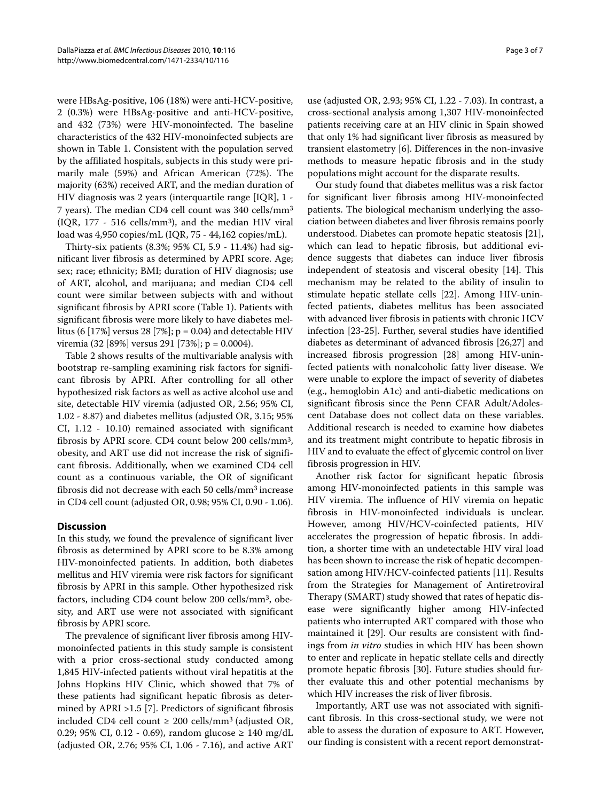were HBsAg-positive, 106 (18%) were anti-HCV-positive, 2 (0.3%) were HBsAg-positive and anti-HCV-positive, and 432 (73%) were HIV-monoinfected. The baseline characteristics of the 432 HIV-monoinfected subjects are shown in Table 1. Consistent with the population served by the affiliated hospitals, subjects in this study were primarily male (59%) and African American (72%). The majority (63%) received ART, and the median duration of HIV diagnosis was 2 years (interquartile range [IQR], 1 - 7 years). The median CD4 cell count was 340 cells/mm3 (IQR, 177 - 516 cells/mm3), and the median HIV viral load was 4,950 copies/mL (IQR, 75 - 44,162 copies/mL).

Thirty-six patients (8.3%; 95% CI, 5.9 - 11.4%) had significant liver fibrosis as determined by APRI score. Age; sex; race; ethnicity; BMI; duration of HIV diagnosis; use of ART, alcohol, and marijuana; and median CD4 cell count were similar between subjects with and without significant fibrosis by APRI score (Table 1). Patients with significant fibrosis were more likely to have diabetes mellitus (6 [17%] versus 28 [7%];  $p = 0.04$ ) and detectable HIV viremia (32 [89%] versus 291 [73%]; p = 0.0004).

Table 2 shows results of the multivariable analysis with bootstrap re-sampling examining risk factors for significant fibrosis by APRI. After controlling for all other hypothesized risk factors as well as active alcohol use and site, detectable HIV viremia (adjusted OR, 2.56; 95% CI, 1.02 - 8.87) and diabetes mellitus (adjusted OR, 3.15; 95% CI, 1.12 - 10.10) remained associated with significant fibrosis by APRI score. CD4 count below 200 cells/mm3, obesity, and ART use did not increase the risk of significant fibrosis. Additionally, when we examined CD4 cell count as a continuous variable, the OR of significant fibrosis did not decrease with each 50 cells/mm3 increase in CD4 cell count (adjusted OR, 0.98; 95% CI, 0.90 - 1.06).

# **Discussion**

In this study, we found the prevalence of significant liver fibrosis as determined by APRI score to be 8.3% among HIV-monoinfected patients. In addition, both diabetes mellitus and HIV viremia were risk factors for significant fibrosis by APRI in this sample. Other hypothesized risk factors, including CD4 count below 200 cells/mm3, obesity, and ART use were not associated with significant fibrosis by APRI score.

The prevalence of significant liver fibrosis among HIVmonoinfected patients in this study sample is consistent with a prior cross-sectional study conducted among 1,845 HIV-infected patients without viral hepatitis at the Johns Hopkins HIV Clinic, which showed that 7% of these patients had significant hepatic fibrosis as determined by APRI >1.5 [7]. Predictors of significant fibrosis included CD4 cell count  $\geq 200$  cells/mm<sup>3</sup> (adjusted OR, 0.29; 95% CI, 0.12 − 0.69), random glucose ≥ 140 mg/dL (adjusted OR, 2.76; 95% CI, 1.06 - 7.16), and active ART

use (adjusted OR, 2.93; 95% CI, 1.22 - 7.03). In contrast, a cross-sectional analysis among 1,307 HIV-monoinfected patients receiving care at an HIV clinic in Spain showed that only 1% had significant liver fibrosis as measured by transient elastometry [6]. Differences in the non-invasive methods to measure hepatic fibrosis and in the study populations might account for the disparate results.

Our study found that diabetes mellitus was a risk factor for significant liver fibrosis among HIV-monoinfected patients. The biological mechanism underlying the association between diabetes and liver fibrosis remains poorly understood. Diabetes can promote hepatic steatosis [21], which can lead to hepatic fibrosis, but additional evidence suggests that diabetes can induce liver fibrosis independent of steatosis and visceral obesity [14]. This mechanism may be related to the ability of insulin to stimulate hepatic stellate cells [22]. Among HIV-uninfected patients, diabetes mellitus has been associated with advanced liver fibrosis in patients with chronic HCV infection [23-25]. Further, several studies have identified diabetes as determinant of advanced fibrosis [26,27] and increased fibrosis progression [28] among HIV-uninfected patients with nonalcoholic fatty liver disease. We were unable to explore the impact of severity of diabetes (e.g., hemoglobin A1c) and anti-diabetic medications on significant fibrosis since the Penn CFAR Adult/Adolescent Database does not collect data on these variables. Additional research is needed to examine how diabetes and its treatment might contribute to hepatic fibrosis in HIV and to evaluate the effect of glycemic control on liver fibrosis progression in HIV.

Another risk factor for significant hepatic fibrosis among HIV-monoinfected patients in this sample was HIV viremia. The influence of HIV viremia on hepatic fibrosis in HIV-monoinfected individuals is unclear. However, among HIV/HCV-coinfected patients, HIV accelerates the progression of hepatic fibrosis. In addition, a shorter time with an undetectable HIV viral load has been shown to increase the risk of hepatic decompensation among HIV/HCV-coinfected patients [11]. Results from the Strategies for Management of Antiretroviral Therapy (SMART) study showed that rates of hepatic disease were significantly higher among HIV-infected patients who interrupted ART compared with those who maintained it [29]. Our results are consistent with findings from in vitro studies in which HIV has been shown to enter and replicate in hepatic stellate cells and directly promote hepatic fibrosis [30]. Future studies should further evaluate this and other potential mechanisms by which HIV increases the risk of liver fibrosis.

Importantly, ART use was not associated with significant fibrosis. In this cross-sectional study, we were not able to assess the duration of exposure to ART. However, our finding is consistent with a recent report demonstrat-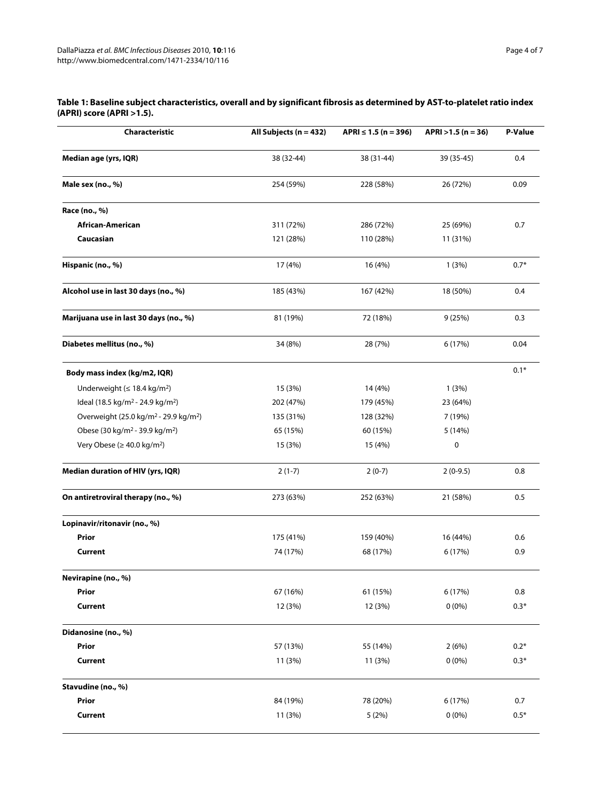# **Table 1: Baseline subject characteristics, overall and by significant fibrosis as determined by AST-to-platelet ratio index (APRI) score (APRI >1.5).**

| Characteristic                                                | All Subjects ( $n = 432$ ) | $APRI \le 1.5$ (n = 396) | $APRI > 1.5 (n = 36)$ | P-Value |
|---------------------------------------------------------------|----------------------------|--------------------------|-----------------------|---------|
| Median age (yrs, IQR)                                         | 38 (32-44)                 | 38 (31-44)               | 39 (35-45)            | 0.4     |
| Male sex (no., %)                                             | 254 (59%)                  | 228 (58%)                | 26 (72%)              | 0.09    |
| Race (no., %)                                                 |                            |                          |                       |         |
| African-American                                              | 311 (72%)                  | 286 (72%)                | 25 (69%)              | 0.7     |
| Caucasian                                                     | 121 (28%)                  | 110 (28%)                | 11 (31%)              |         |
| Hispanic (no., %)                                             | 17 (4%)                    | 16 (4%)                  | 1(3%)                 | $0.7*$  |
| Alcohol use in last 30 days (no., %)                          | 185 (43%)                  | 167 (42%)                | 18 (50%)              | 0.4     |
| Marijuana use in last 30 days (no., %)                        | 81 (19%)                   | 72 (18%)                 | 9(25%)                | 0.3     |
| Diabetes mellitus (no., %)                                    | 34 (8%)                    | 28 (7%)                  | 6 (17%)               | 0.04    |
| Body mass index (kg/m2, IQR)                                  |                            |                          |                       | $0.1*$  |
| Underweight ( $\leq$ 18.4 kg/m <sup>2</sup> )                 | 15 (3%)                    | 14 (4%)                  | 1(3%)                 |         |
| Ideal (18.5 kg/m <sup>2</sup> - 24.9 kg/m <sup>2</sup> )      | 202 (47%)                  | 179 (45%)                | 23 (64%)              |         |
| Overweight (25.0 kg/m <sup>2</sup> - 29.9 kg/m <sup>2</sup> ) | 135 (31%)                  | 128 (32%)                | 7 (19%)               |         |
| Obese (30 kg/m <sup>2</sup> - 39.9 kg/m <sup>2</sup> )        | 65 (15%)                   | 60 (15%)                 | 5 (14%)               |         |
| Very Obese ( $\geq 40.0$ kg/m <sup>2</sup> )                  | 15 (3%)                    | 15 (4%)                  | 0                     |         |
| Median duration of HIV (yrs, IQR)                             | $2(1-7)$                   | $2(0-7)$                 | $2(0-9.5)$            | 0.8     |
| On antiretroviral therapy (no., %)                            | 273 (63%)                  | 252 (63%)                | 21 (58%)              | 0.5     |
| Lopinavir/ritonavir (no., %)                                  |                            |                          |                       |         |
| Prior                                                         | 175 (41%)                  | 159 (40%)                | 16 (44%)              | 0.6     |
| Current                                                       | 74 (17%)                   | 68 (17%)                 | 6 (17%)               | 0.9     |
| Nevirapine (no., %)                                           |                            |                          |                       |         |
| Prior                                                         | 67 (16%)                   | 61 (15%)                 | 6 (17%)               | 0.8     |
| Current                                                       | 12 (3%)                    | 12 (3%)                  | $0(0\%)$              | $0.3*$  |
| Didanosine (no., %)                                           |                            |                          |                       |         |
| Prior                                                         | 57 (13%)                   | 55 (14%)                 | 2(6%)                 | $0.2*$  |
| Current                                                       | 11 (3%)                    | 11 (3%)                  | $0(0\%)$              | $0.3*$  |
| Stavudine (no., %)                                            |                            |                          |                       |         |
| Prior                                                         | 84 (19%)                   | 78 (20%)                 | 6 (17%)               | 0.7     |
| Current                                                       | 11 (3%)                    | 5(2%)                    | $0(0\%)$              | $0.5*$  |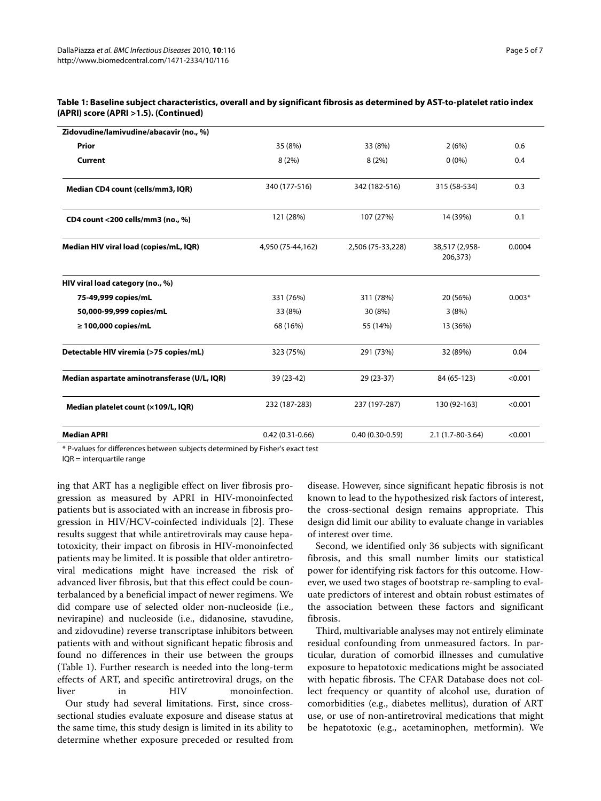| Zidovudine/lamivudine/abacavir (no., %)      |                   |                   |                            |          |
|----------------------------------------------|-------------------|-------------------|----------------------------|----------|
| Prior                                        | 35 (8%)           | 33 (8%)           | 2(6%)                      | 0.6      |
| Current                                      | 8(2%)             | 8(2%)             | $0(0\%)$                   | 0.4      |
| Median CD4 count (cells/mm3, IQR)            | 340 (177-516)     | 342 (182-516)     | 315 (58-534)               | 0.3      |
| CD4 count <200 cells/mm3 (no., %)            | 121 (28%)         | 107 (27%)         | 14 (39%)                   | 0.1      |
| Median HIV viral load (copies/mL, IQR)       | 4,950 (75-44,162) | 2,506 (75-33,228) | 38,517 (2,958-<br>206,373) | 0.0004   |
| HIV viral load category (no., %)             |                   |                   |                            |          |
| 75-49,999 copies/mL                          | 331 (76%)         | 311 (78%)         | 20 (56%)                   | $0.003*$ |
| 50,000-99,999 copies/mL                      | 33 (8%)           | 30 (8%)           | 3(8%)                      |          |
| $\geq$ 100,000 copies/mL                     | 68 (16%)          | 55 (14%)          | 13 (36%)                   |          |
| Detectable HIV viremia (>75 copies/mL)       | 323 (75%)         | 291 (73%)         | 32 (89%)                   | 0.04     |
| Median aspartate aminotransferase (U/L, IQR) | 39 (23-42)        | 29 (23-37)        | 84 (65-123)                | < 0.001  |
| Median platelet count (x109/L, IQR)          | 232 (187-283)     | 237 (197-287)     | 130 (92-163)               | < 0.001  |
| <b>Median APRI</b>                           | $0.42(0.31-0.66)$ | $0.40(0.30-0.59)$ | 2.1 (1.7-80-3.64)          | < 0.001  |

# **Table 1: Baseline subject characteristics, overall and by significant fibrosis as determined by AST-to-platelet ratio index (APRI) score (APRI >1.5). (Continued)**

\* P-values for differences between subjects determined by Fisher's exact test

IQR = interquartile range

ing that ART has a negligible effect on liver fibrosis progression as measured by APRI in HIV-monoinfected patients but is associated with an increase in fibrosis progression in HIV/HCV-coinfected individuals [2]. These results suggest that while antiretrovirals may cause hepatotoxicity, their impact on fibrosis in HIV-monoinfected patients may be limited. It is possible that older antiretroviral medications might have increased the risk of advanced liver fibrosis, but that this effect could be counterbalanced by a beneficial impact of newer regimens. We did compare use of selected older non-nucleoside (i.e., nevirapine) and nucleoside (i.e., didanosine, stavudine, and zidovudine) reverse transcriptase inhibitors between patients with and without significant hepatic fibrosis and found no differences in their use between the groups (Table 1). Further research is needed into the long-term effects of ART, and specific antiretroviral drugs, on the liver in HIV monoinfection. Our study had several limitations. First, since crosssectional studies evaluate exposure and disease status at the same time, this study design is limited in its ability to determine whether exposure preceded or resulted from

disease. However, since significant hepatic fibrosis is not known to lead to the hypothesized risk factors of interest, the cross-sectional design remains appropriate. This design did limit our ability to evaluate change in variables of interest over time.

Second, we identified only 36 subjects with significant fibrosis, and this small number limits our statistical power for identifying risk factors for this outcome. However, we used two stages of bootstrap re-sampling to evaluate predictors of interest and obtain robust estimates of the association between these factors and significant fibrosis.

Third, multivariable analyses may not entirely eliminate residual confounding from unmeasured factors. In particular, duration of comorbid illnesses and cumulative exposure to hepatotoxic medications might be associated with hepatic fibrosis. The CFAR Database does not collect frequency or quantity of alcohol use, duration of comorbidities (e.g., diabetes mellitus), duration of ART use, or use of non-antiretroviral medications that might be hepatotoxic (e.g., acetaminophen, metformin). We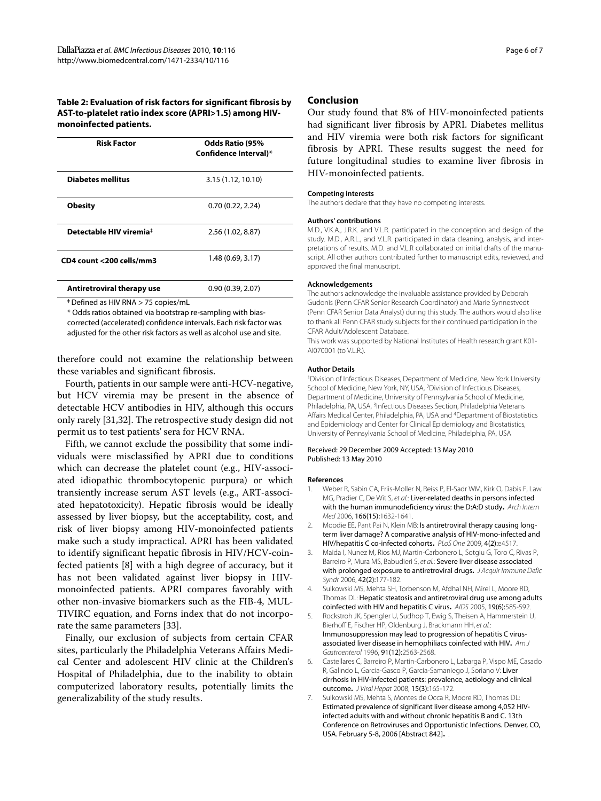#### **Table 2: Evaluation of risk factors for significant fibrosis by AST-to-platelet ratio index score (APRI>1.5) among HIVmonoinfected patients.**

| <b>Risk Factor</b>                       | <b>Odds Ratio (95%</b><br>Confidence Interval)* |  |
|------------------------------------------|-------------------------------------------------|--|
| <b>Diabetes mellitus</b>                 | 3.15(1.12, 10.10)                               |  |
| <b>Obesity</b>                           | 0.70(0.22, 2.24)                                |  |
| Detectable HIV viremia <sup>‡</sup>      | 2.56 (1.02, 8.87)                               |  |
| CD4 count <200 cells/mm3                 | 1.48 (0.69, 3.17)                               |  |
| Antiretroviral therapy use               | 0.90(0.39, 2.07)                                |  |
| ‡ Defined as HIV RNA $\sim$ 75 conjes/ml |                                                 |  |

0efined as HIV RNA > 75 copies/mL

\* Odds ratios obtained via bootstrap re-sampling with biascorrected (accelerated) confidence intervals. Each risk factor was adjusted for the other risk factors as well as alcohol use and site.

therefore could not examine the relationship between these variables and significant fibrosis.

Fourth, patients in our sample were anti-HCV-negative, but HCV viremia may be present in the absence of detectable HCV antibodies in HIV, although this occurs only rarely [31,32]. The retrospective study design did not permit us to test patients' sera for HCV RNA.

Fifth, we cannot exclude the possibility that some individuals were misclassified by APRI due to conditions which can decrease the platelet count (e.g., HIV-associated idiopathic thrombocytopenic purpura) or which transiently increase serum AST levels (e.g., ART-associated hepatotoxicity). Hepatic fibrosis would be ideally assessed by liver biopsy, but the acceptability, cost, and risk of liver biopsy among HIV-monoinfected patients make such a study impractical. APRI has been validated to identify significant hepatic fibrosis in HIV/HCV-coinfected patients [8] with a high degree of accuracy, but it has not been validated against liver biopsy in HIVmonoinfected patients. APRI compares favorably with other non-invasive biomarkers such as the FIB-4, MUL-TIVIRC equation, and Forns index that do not incorporate the same parameters [33].

Finally, our exclusion of subjects from certain CFAR sites, particularly the Philadelphia Veterans Affairs Medical Center and adolescent HIV clinic at the Children's Hospital of Philadelphia, due to the inability to obtain computerized laboratory results, potentially limits the generalizability of the study results.

#### **Conclusion**

Our study found that 8% of HIV-monoinfected patients had significant liver fibrosis by APRI. Diabetes mellitus and HIV viremia were both risk factors for significant fibrosis by APRI. These results suggest the need for future longitudinal studies to examine liver fibrosis in HIV-monoinfected patients.

#### **Competing interests**

The authors declare that they have no competing interests.

#### **Authors' contributions**

M.D., V.K.A., J.R.K. and V.L.R. participated in the conception and design of the study. M.D., A.R.L., and V.L.R. participated in data cleaning, analysis, and interpretations of results. M.D. and V.L.R collaborated on initial drafts of the manuscript. All other authors contributed further to manuscript edits, reviewed, and approved the final manuscript.

#### **Acknowledgements**

The authors acknowledge the invaluable assistance provided by Deborah Gudonis (Penn CFAR Senior Research Coordinator) and Marie Synnestvedt (Penn CFAR Senior Data Analyst) during this study. The authors would also like to thank all Penn CFAR study subjects for their continued participation in the CFAR Adult/Adolescent Database.

This work was supported by National Institutes of Health research grant K01- AI070001 (to V.L.R.).

#### **Author Details**

1Division of Infectious Diseases, Department of Medicine, New York University School of Medicine, New York, NY, USA, 2Division of Infectious Diseases, Department of Medicine, University of Pennsylvania School of Medicine, Philadelphia, PA, USA, 3Infectious Diseases Section, Philadelphia Veterans Affairs Medical Center, Philadelphia, PA, USA and 4Department of Biostatistics and Epidemiology and Center for Clinical Epidemiology and Biostatistics, University of Pennsylvania School of Medicine, Philadelphia, PA, USA

#### Received: 29 December 2009 Accepted: 13 May 2010 Published: 13 May 2010

#### **References**

- 1. Weber R, Sabin CA, Friis-Moller N, Reiss P, El-Sadr WM, Kirk O, Dabis F, Law MG, Pradier C, De Wit S, et al.: Liver-related deaths in persons infected with the human immunodeficiency virus: the D:A:D study**.** Arch Intern Med 2006, 166(15):1632-1641.
- 2. Moodie EE, Pant Pai N, Klein MB: Is antiretroviral therapy causing longterm liver damage? A comparative analysis of HIV-mono-infected and HIV/hepatitis C co-infected cohorts**.** PLoS One 2009, 4(2):e4517.
- 3. Maida I, Nunez M, Rios MJ, Martin-Carbonero L, Sotgiu G, Toro C, Rivas P, Barreiro P, Mura MS, Babudieri S, et al.: Severe liver disease associated with prolonged exposure to antiretroviral drugs**.** J Acquir Immune Defic Syndr 2006, 42(2):177-182.
- 4. Sulkowski MS, Mehta SH, Torbenson M, Afdhal NH, Mirel L, Moore RD, Thomas DL: Hepatic steatosis and antiretroviral drug use among adults coinfected with HIV and hepatitis C virus**.** AIDS 2005, 19(6):585-592.
- 5. Rockstroh JK, Spengler U, Sudhop T, Ewig S, Theisen A, Hammerstein U, Bierhoff E, Fischer HP, Oldenburg J, Brackmann HH, et al.: Immunosuppression may lead to progression of hepatitis C virusassociated liver disease in hemophiliacs coinfected with HIV**.** Am J Gastroenterol 1996, 91(12):2563-2568.
- 6. Castellares C, Barreiro P, Martin-Carbonero L, Labarga P, Vispo ME, Casado R, Galindo L, Garcia-Gasco P, Garcia-Samaniego J, Soriano V: Liver cirrhosis in HIV-infected patients: prevalence, aetiology and clinical outcome**.** J Viral Hepat 2008, 15(3):165-172.
- 7. Sulkowski MS, Mehta S, Montes de Occa R, Moore RD, Thomas DL: Estimated prevalence of significant liver disease among 4,052 HIVinfected adults with and without chronic hepatitis B and C. 13th Conference on Retroviruses and Opportunistic Infections. Denver, CO, USA. February 5-8, 2006 [Abstract 842]**.** .